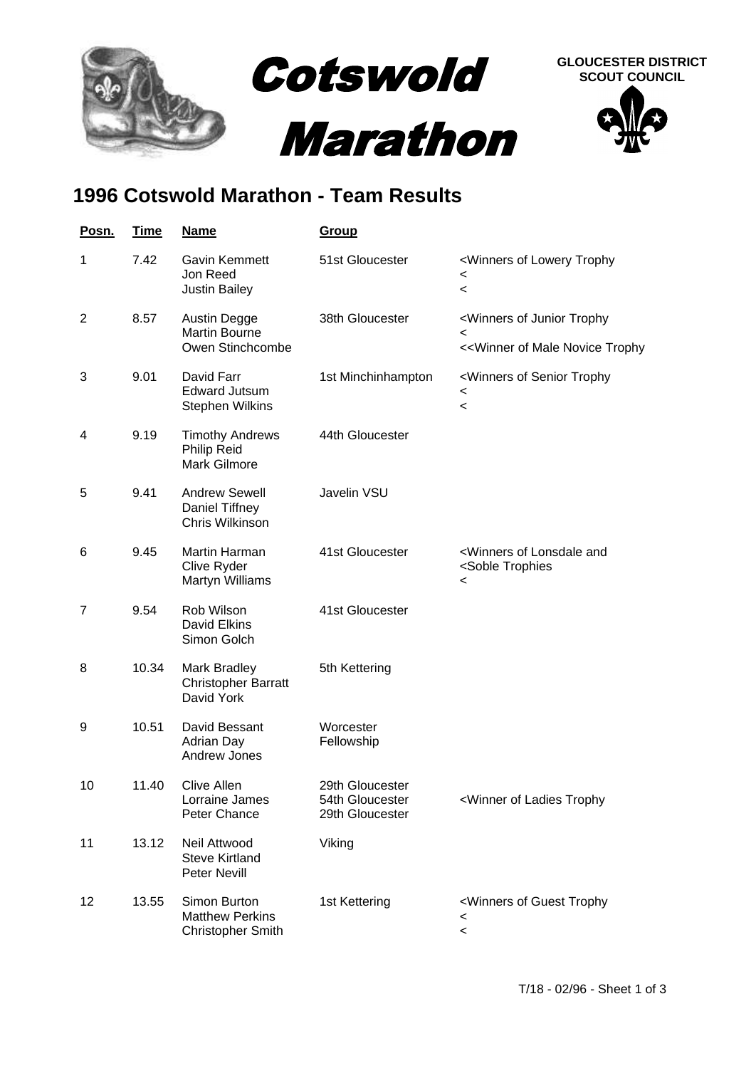

## **1996 Cotswold Marathon - Team Results**

| Posn. | <u>Time</u> | <b>Name</b>                                                        | <b>Group</b>                                          |                                                                                                               |
|-------|-------------|--------------------------------------------------------------------|-------------------------------------------------------|---------------------------------------------------------------------------------------------------------------|
| 1     | 7.42        | Gavin Kemmett<br>Jon Reed<br><b>Justin Bailey</b>                  | 51st Gloucester                                       | <winners lowery="" of="" trophy<br=""><math>\,&lt;\,</math><br/><math>\,&lt;\,</math></winners>               |
| 2     | 8.57        | Austin Degge<br><b>Martin Bourne</b><br>Owen Stinchcombe           | 38th Gloucester                                       | <winners junior="" of="" trophy<br=""><math>\,&lt;</math><br/>&lt;&lt; Winner of Male Novice Trophy</winners> |
| 3     | 9.01        | David Farr<br><b>Edward Jutsum</b><br><b>Stephen Wilkins</b>       | 1st Minchinhampton                                    | <winners of="" senior="" trophy<br="">&lt;<br/><math display="inline">\,&lt;</math></winners>                 |
| 4     | 9.19        | <b>Timothy Andrews</b><br>Philip Reid<br><b>Mark Gilmore</b>       | 44th Gloucester                                       |                                                                                                               |
| 5     | 9.41        | <b>Andrew Sewell</b><br>Daniel Tiffney<br>Chris Wilkinson          | Javelin VSU                                           |                                                                                                               |
| 6     | 9.45        | Martin Harman<br>Clive Ryder<br>Martyn Williams                    | 41st Gloucester                                       | <winners and<br="" lonsdale="" of=""><soble trophies<br=""><math>\,&lt;</math></soble></winners>              |
| 7     | 9.54        | Rob Wilson<br><b>David Elkins</b><br>Simon Golch                   | 41st Gloucester                                       |                                                                                                               |
| 8     | 10.34       | Mark Bradley<br><b>Christopher Barratt</b><br>David York           | 5th Kettering                                         |                                                                                                               |
| 9     | 10.51       | David Bessant<br><b>Adrian Day</b><br>Andrew Jones                 | Worcester<br>Fellowship                               |                                                                                                               |
| 10    | 11.40       | Clive Allen<br>Lorraine James<br>Peter Chance                      | 29th Gloucester<br>54th Gloucester<br>29th Gloucester | <winner ladies="" of="" td="" trophy<=""></winner>                                                            |
| 11    | 13.12       | Neil Attwood<br><b>Steve Kirtland</b><br>Peter Nevill              | Viking                                                |                                                                                                               |
| 12    | 13.55       | Simon Burton<br><b>Matthew Perkins</b><br><b>Christopher Smith</b> | 1st Kettering                                         | <winners guest="" of="" trophy<br=""><math>\,&lt;\,</math><br/><math>\,&lt;\,</math></winners>                |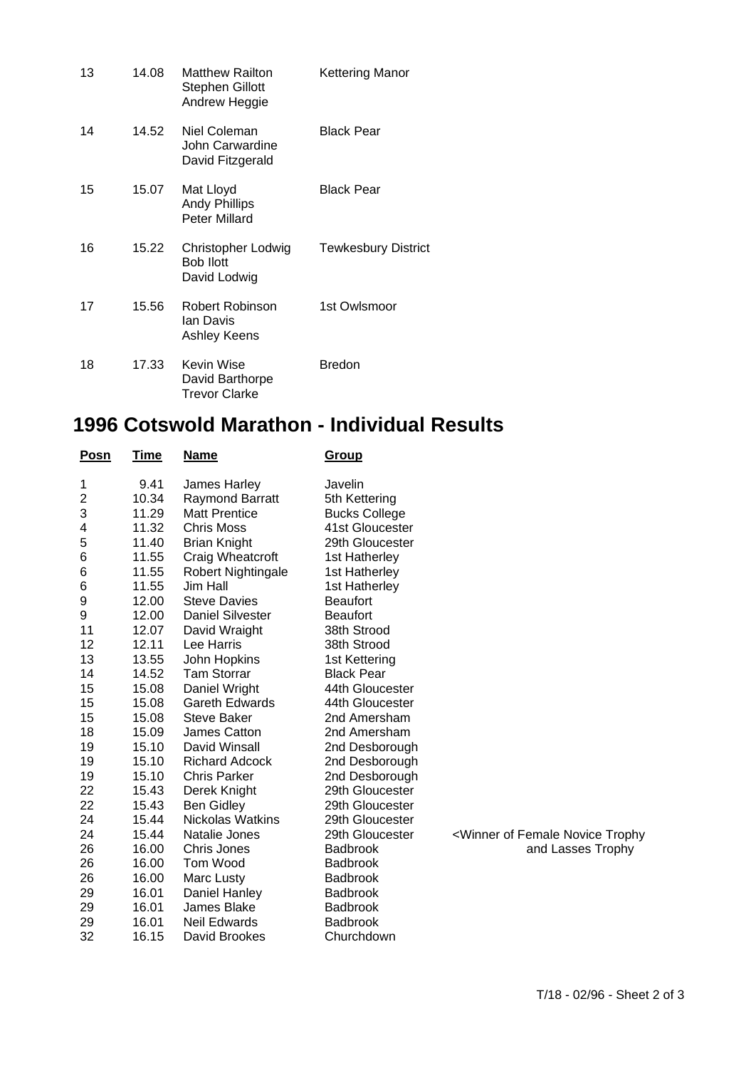| 13 | 14.08 | <b>Matthew Railton</b><br><b>Stephen Gillott</b><br>Andrew Heggie | Kettering Manor            |
|----|-------|-------------------------------------------------------------------|----------------------------|
| 14 | 14.52 | Niel Coleman<br>John Carwardine<br>David Fitzgerald               | <b>Black Pear</b>          |
| 15 | 15.07 | Mat Lloyd<br><b>Andy Phillips</b><br><b>Peter Millard</b>         | Black Pear                 |
| 16 | 15.22 | Christopher Lodwig<br><b>Bob Ilott</b><br>David Lodwig            | <b>Tewkesbury District</b> |
| 17 | 15.56 | Robert Robinson<br>Ian Davis<br>Ashley Keens                      | 1st Owlsmoor               |
| 18 | 17.33 | Kevin Wise<br>David Barthorpe<br><b>Trevor Clarke</b>             | <b>Bredon</b>              |

## **1996 Cotswold Marathon - Individual Results**

| <b>Posn</b> | T <u>ime</u> | <u>Name</u>             | Group                |                                                              |
|-------------|--------------|-------------------------|----------------------|--------------------------------------------------------------|
| 1           | 9.41         | James Harley            | Javelin              |                                                              |
| 2           | 10.34        | <b>Raymond Barratt</b>  | 5th Kettering        |                                                              |
| 3           | 11.29        | <b>Matt Prentice</b>    | <b>Bucks College</b> |                                                              |
| 4           | 11.32        | <b>Chris Moss</b>       | 41st Gloucester      |                                                              |
| 5           | 11.40        | <b>Brian Knight</b>     | 29th Gloucester      |                                                              |
| 6           | 11.55        | Craig Wheatcroft        | 1st Hatherley        |                                                              |
| 6           | 11.55        | Robert Nightingale      | 1st Hatherley        |                                                              |
| 6           | 11.55        | Jim Hall                | 1st Hatherley        |                                                              |
| 9           | 12.00        | <b>Steve Davies</b>     | <b>Beaufort</b>      |                                                              |
| 9           | 12.00        | <b>Daniel Silvester</b> | <b>Beaufort</b>      |                                                              |
| 11          | 12.07        | David Wraight           | 38th Strood          |                                                              |
| 12          | 12.11        | Lee Harris              | 38th Strood          |                                                              |
| 13          | 13.55        | John Hopkins            | 1st Kettering        |                                                              |
| 14          | 14.52        | <b>Tam Storrar</b>      | <b>Black Pear</b>    |                                                              |
| 15          | 15.08        | Daniel Wright           | 44th Gloucester      |                                                              |
| 15          | 15.08        | <b>Gareth Edwards</b>   | 44th Gloucester      |                                                              |
| 15          | 15.08        | Steve Baker             | 2nd Amersham         |                                                              |
| 18          | 15.09        | James Catton            | 2nd Amersham         |                                                              |
| 19          | 15.10        | David Winsall           | 2nd Desborough       |                                                              |
| 19          | 15.10        | <b>Richard Adcock</b>   | 2nd Desborough       |                                                              |
| 19          | 15.10        | <b>Chris Parker</b>     | 2nd Desborough       |                                                              |
| 22          | 15.43        | Derek Knight            | 29th Gloucester      |                                                              |
| 22          | 15.43        | <b>Ben Gidley</b>       | 29th Gloucester      |                                                              |
| 24          | 15.44        | <b>Nickolas Watkins</b> | 29th Gloucester      |                                                              |
| 24          | 15.44        | Natalie Jones           | 29th Gloucester      | <winner female="" novice="" of="" td="" trophy<=""></winner> |
| 26          | 16.00        | Chris Jones             | <b>Badbrook</b>      | and Lasses Trophy                                            |
| 26          | 16.00        | Tom Wood                | <b>Badbrook</b>      |                                                              |
| 26          | 16.00        | Marc Lusty              | <b>Badbrook</b>      |                                                              |
| 29          | 16.01        | Daniel Hanley           | <b>Badbrook</b>      |                                                              |
| 29          | 16.01        | James Blake             | <b>Badbrook</b>      |                                                              |
| 29          | 16.01        | <b>Neil Edwards</b>     | <b>Badbrook</b>      |                                                              |
| 32          | 16.15        | David Brookes           | Churchdown           |                                                              |